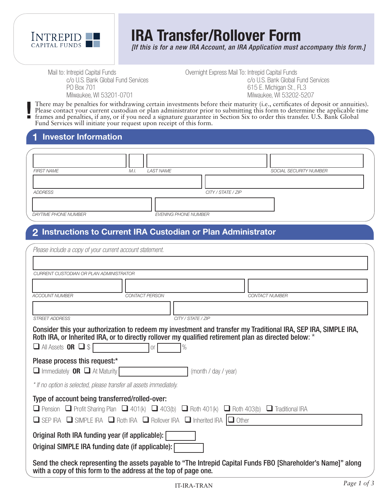

# **IRA Transfer/Rollover Form**

*[If this is for a new IRA Account, an IRA Application must accompany this form.]*

Mail to: Intrepid Capital Funds c/o U.S. Bank Global Fund Services PO Box 701 Milwaukee, WI 53201-0701

Overnight Express Mail To: Intrepid Capital Funds c/o U.S. Bank Global Fund Services 615 E. Michigan St., FL3 Milwaukee, WI 53202-5207

There may be penalties for withdrawing certain investments before their maturity (i.e., certificates of deposit or annuities). Please contact your current custodian or plan administrator prior to submitting this form to determine the applicable time frames and penalties, if any, or if you need a signature guarantee in Section Six to order this transfer. U.S. Bank Global Fund Services will initiate your request upon receipt of this form. **!**

#### **1 Investor Information**

| <b>FIRST NAME</b>    | LAST NAME<br>M.I.           | SOCIAL SECURITY NUMBER |
|----------------------|-----------------------------|------------------------|
|                      |                             |                        |
| ADDRESS              |                             | CITY / STATE / ZIP     |
|                      |                             |                        |
| DAYTIME PHONE NUMBER | <b>EVENING PHONE NUMBER</b> |                        |

# **2 Instructions to Current IRA Custodian or Plan Administrator**

| Please include a copy of your current account statement.                                                                                                                                                                                                                                                     |  |  |  |  |  |  |
|--------------------------------------------------------------------------------------------------------------------------------------------------------------------------------------------------------------------------------------------------------------------------------------------------------------|--|--|--|--|--|--|
|                                                                                                                                                                                                                                                                                                              |  |  |  |  |  |  |
| CURRENT CUSTODIAN OR PLAN ADMINISTRATOR                                                                                                                                                                                                                                                                      |  |  |  |  |  |  |
|                                                                                                                                                                                                                                                                                                              |  |  |  |  |  |  |
| <b>ACCOUNT NUMBER</b><br>CONTACT PERSON<br><b>CONTACT NUMBER</b>                                                                                                                                                                                                                                             |  |  |  |  |  |  |
|                                                                                                                                                                                                                                                                                                              |  |  |  |  |  |  |
| <b>STREET ADDRESS</b><br>CITY / STATE / ZIP                                                                                                                                                                                                                                                                  |  |  |  |  |  |  |
| Consider this your authorization to redeem my investment and transfer my Traditional IRA, SEP IRA, SIMPLE IRA,<br>Roth IRA, or Inherited IRA, or to directly rollover my qualified retirement plan as directed below: *<br>$\Box$ All Assets OR $\Box$ \$<br>%<br>O <sub>r</sub>                             |  |  |  |  |  |  |
| Please process this request:*<br>$\Box$ Immediately <b>OR</b> $\Box$ At Maturity<br>(month / day / year)                                                                                                                                                                                                     |  |  |  |  |  |  |
| * If no option is selected, please transfer all assets immediately.                                                                                                                                                                                                                                          |  |  |  |  |  |  |
| Type of account being transferred/rolled-over:<br><b>O</b> Pension <b>O</b> Profit Sharing Plan <b>O</b> 401(k) <b>O</b> 403(b) <b>O</b> Roth 401(k) <b>O</b> Roth 403(b) <b>O</b> Traditional IRA<br>$\Box$ SEP IRA $\Box$ SIMPLE IRA $\Box$ Roth IRA $\Box$ Rollover IRA $\Box$ Inherited IRA $\Box$ Other |  |  |  |  |  |  |
| Original Roth IRA funding year (if applicable):<br>Original SIMPLE IRA funding date (if applicable):                                                                                                                                                                                                         |  |  |  |  |  |  |
| Send the check representing the assets payable to "The Intrepid Capital Funds FBO [Shareholder's Name]" along<br>with a copy of this form to the address at the top of page one.                                                                                                                             |  |  |  |  |  |  |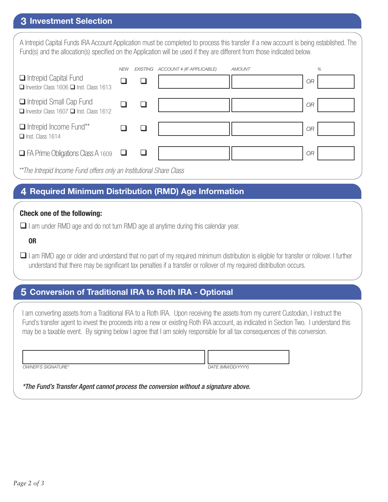## **3 Investment Selection**

A Intrepid Capital Funds IRA Account Application must be completed to process this transfer if a new account is being established. The Fund(s) and the allocation(s) specified on the Application will be used if they are different from those indicated below.

|                                                                               | <b>NEW</b> | EXISTING | ACCOUNT # (IF APPLICABLE) | <b>AMOUNT</b> |           | $\%$ |
|-------------------------------------------------------------------------------|------------|----------|---------------------------|---------------|-----------|------|
| $\Box$ Intrepid Capital Fund<br>Investor Class 1606 Inst. Class 1613          |            |          |                           |               | <b>OR</b> |      |
| Intrepid Small Cap Fund<br>$\Box$ Investor Class 1607 $\Box$ Inst. Class 1612 |            |          |                           |               | <b>OR</b> |      |
| Intrepid Income Fund**<br>$\Box$ Inst. Class 1614                             |            |          |                           |               | <b>OR</b> |      |
| $\Box$ FA Prime Obligations Class A 1609                                      | └┙         |          |                           |               | <b>OR</b> |      |
| **The Intrepid Income Fund offers only an Institutional Share Class           |            |          |                           |               |           |      |

## **4 Required Minimum Distribution (RMD) Age Information**

#### **Check one of the following:**

 $\Box$  I am under RMD age and do not turn RMD age at anytime during this calendar year.

#### **OR**

 $\Box$  I am RMD age or older and understand that no part of my required minimum distribution is eligible for transfer or rollover. I further understand that there may be significant tax penalties if a transfer or rollover of my required distribution occurs.

# **5 Conversion of Traditional IRA to Roth IRA - Optional**

I am converting assets from a Traditional IRA to a Roth IRA. Upon receiving the assets from my current Custodian, I instruct the Fund's transfer agent to invest the proceeds into a new or existing Roth IRA account, as indicated in Section Two. I understand this may be a taxable event. By signing below I agree that I am solely responsible for all tax consequences of this conversion.

*OWNER'S SIGNATURE\* DATE (MM/DD/YYYY)*

*\*The Fund's Transfer Agent cannot process the conversion without a signature above.*